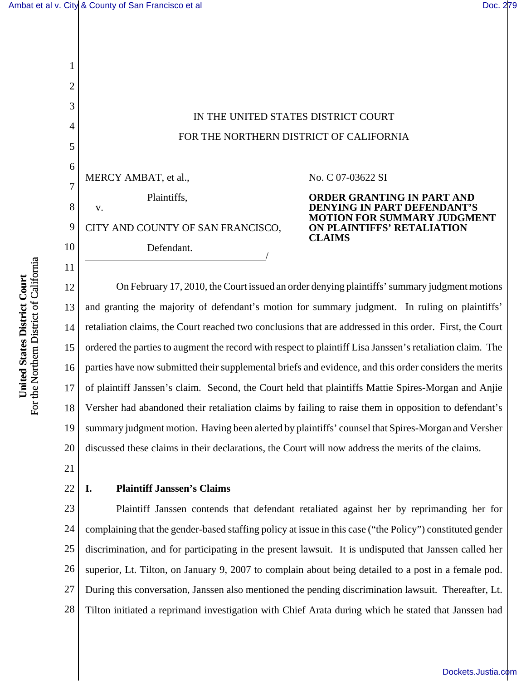1

2

3

4

5

6

7

8

v.

9

10

11

[Dockets.Justia.com](http://dockets.justia.com/)

# IN THE UNITED STATES DISTRICT COURT FOR THE NORTHERN DISTRICT OF CALIFORNIA

MERCY AMBAT, et al.,

Plaintiffs,

Defendant.

CITY AND COUNTY OF SAN FRANCISCO,

No. C 07-03622 SI

**ORDER GRANTING IN PART AND DENYING IN PART DEFENDANT'S MOTION FOR SUMMARY JUDGMENT ON PLAINTIFFS' RETALIATION CLAIMS**

12 13 14 15 16 17 18 19 20 On February 17, 2010, the Court issued an order denying plaintiffs' summary judgment motions and granting the majority of defendant's motion for summary judgment. In ruling on plaintiffs' retaliation claims, the Court reached two conclusions that are addressed in this order. First, the Court ordered the parties to augment the record with respect to plaintiff Lisa Janssen's retaliation claim. The parties have now submitted their supplemental briefs and evidence, and this order considers the merits of plaintiff Janssen's claim. Second, the Court held that plaintiffs Mattie Spires-Morgan and Anjie Versher had abandoned their retaliation claims by failing to raise them in opposition to defendant's summary judgment motion. Having been alerted by plaintiffs' counsel that Spires-Morgan and Versher discussed these claims in their declarations, the Court will now address the merits of the claims.

21

22

#### **I. Plaintiff Janssen's Claims**

23 24 25 26 27 28 Plaintiff Janssen contends that defendant retaliated against her by reprimanding her for complaining that the gender-based staffing policy at issue in this case ("the Policy") constituted gender discrimination, and for participating in the present lawsuit. It is undisputed that Janssen called her superior, Lt. Tilton, on January 9, 2007 to complain about being detailed to a post in a female pod. During this conversation, Janssen also mentioned the pending discrimination lawsuit. Thereafter, Lt. Tilton initiated a reprimand investigation with Chief Arata during which he stated that Janssen had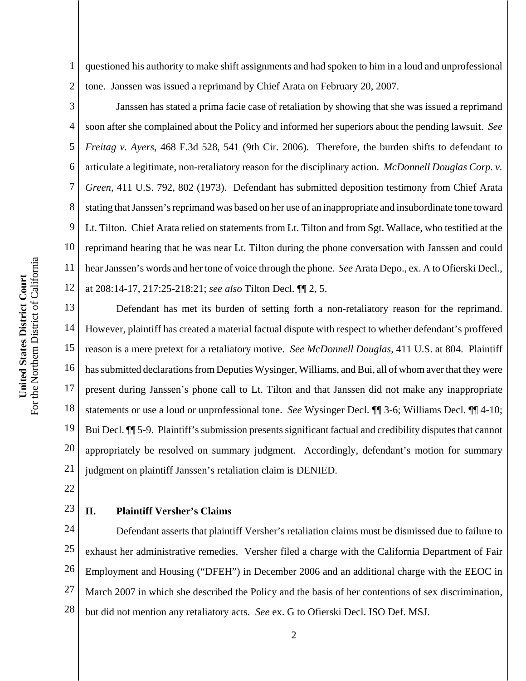1 2 questioned his authority to make shift assignments and had spoken to him in a loud and unprofessional tone. Janssen was issued a reprimand by Chief Arata on February 20, 2007.

3 4 5 6 7 8 9 10 11 12 Janssen has stated a prima facie case of retaliation by showing that she was issued a reprimand soon after she complained about the Policy and informed her superiors about the pending lawsuit. *See Freitag v. Ayers*, 468 F.3d 528, 541 (9th Cir. 2006)*.* Therefore, the burden shifts to defendant to articulate a legitimate, non-retaliatory reason for the disciplinary action. *McDonnell Douglas Corp. v. Green*, 411 U.S. 792, 802 (1973). Defendant has submitted deposition testimony from Chief Arata stating that Janssen's reprimand was based on her use of an inappropriate and insubordinate tone toward Lt. Tilton. Chief Arata relied on statements from Lt. Tilton and from Sgt. Wallace, who testified at the reprimand hearing that he was near Lt. Tilton during the phone conversation with Janssen and could hear Janssen's words and her tone of voice through the phone. *See* Arata Depo., ex. A to Ofierski Decl., at 208:14-17, 217:25-218:21; *see also* Tilton Decl. ¶¶ 2, 5.

13 14 15 16 17 18 19 20 21 Defendant has met its burden of setting forth a non-retaliatory reason for the reprimand. However, plaintiff has created a material factual dispute with respect to whether defendant's proffered reason is a mere pretext for a retaliatory motive. *See McDonnell Douglas*, 411 U.S. at 804. Plaintiff has submitted declarations from Deputies Wysinger, Williams, and Bui, all of whom aver that they were present during Janssen's phone call to Lt. Tilton and that Janssen did not make any inappropriate statements or use a loud or unprofessional tone. *See* Wysinger Decl. ¶¶ 3-6; Williams Decl. ¶¶ 4-10; Bui Decl. ¶¶ 5-9. Plaintiff's submission presents significant factual and credibility disputes that cannot appropriately be resolved on summary judgment. Accordingly, defendant's motion for summary judgment on plaintiff Janssen's retaliation claim is DENIED.

22

# 23

#### **II. Plaintiff Versher's Claims**

24 25 26 27 28 Defendant asserts that plaintiff Versher's retaliation claims must be dismissed due to failure to exhaust her administrative remedies. Versher filed a charge with the California Department of Fair Employment and Housing ("DFEH") in December 2006 and an additional charge with the EEOC in March 2007 in which she described the Policy and the basis of her contentions of sex discrimination, but did not mention any retaliatory acts. *See* ex. G to Ofierski Decl. ISO Def. MSJ.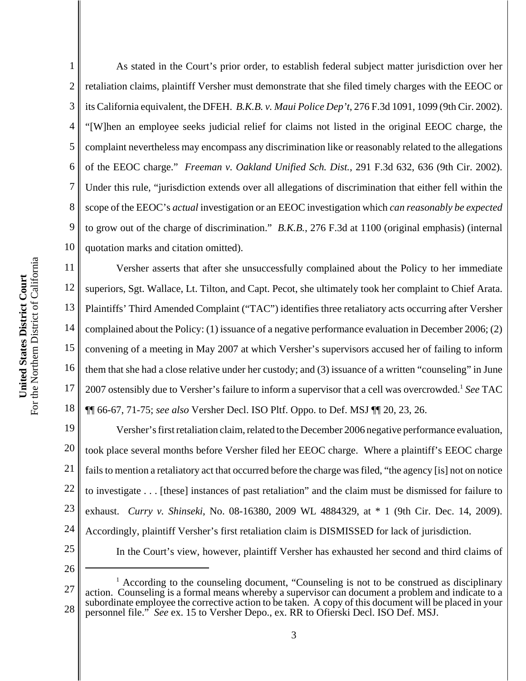5 6 7 8 9 10 For the Northern District of California For the Northern District of California 11 United States District Court **United States District Court** 12 13 14 15 16 17

1 2 3 4 As stated in the Court's prior order, to establish federal subject matter jurisdiction over her retaliation claims, plaintiff Versher must demonstrate that she filed timely charges with the EEOC or its California equivalent, the DFEH. *B.K.B. v. Maui Police Dep't*, 276 F.3d 1091, 1099 (9th Cir. 2002). "[W]hen an employee seeks judicial relief for claims not listed in the original EEOC charge, the complaint nevertheless may encompass any discrimination like or reasonably related to the allegations of the EEOC charge."*Freeman v. Oakland Unified Sch. Dist.*, 291 F.3d 632, 636 (9th Cir. 2002). Under this rule, "jurisdiction extends over all allegations of discrimination that either fell within the scope of the EEOC's *actual* investigation or an EEOC investigation which *can reasonably be expected* to grow out of the charge of discrimination." *B.K.B.*, 276 F.3d at 1100 (original emphasis) (internal quotation marks and citation omitted).

18 Versher asserts that after she unsuccessfully complained about the Policy to her immediate superiors, Sgt. Wallace, Lt. Tilton, and Capt. Pecot, she ultimately took her complaint to Chief Arata. Plaintiffs' Third Amended Complaint ("TAC") identifies three retaliatory acts occurring after Versher complained about the Policy: (1) issuance of a negative performance evaluation in December 2006; (2) convening of a meeting in May 2007 at which Versher's supervisors accused her of failing to inform them that she had a close relative under her custody; and (3) issuance of a written "counseling" in June 2007 ostensibly due to Versher's failure to inform a supervisor that a cell was overcrowded.<sup>1</sup> See TAC ¶¶ 66-67, 71-75; *see also* Versher Decl. ISO Pltf. Oppo. to Def. MSJ ¶¶ 20, 23, 26.

19 20 21 22 23 24 25 Versher's first retaliation claim, related to the December 2006 negative performance evaluation, took place several months before Versher filed her EEOC charge. Where a plaintiff's EEOC charge fails to mention a retaliatory act that occurred before the charge was filed, "the agency [is] not on notice to investigate . . . [these] instances of past retaliation" and the claim must be dismissed for failure to exhaust. *Curry v. Shinseki*, No. 08-16380, 2009 WL 4884329, at \* 1 (9th Cir. Dec. 14, 2009). Accordingly, plaintiff Versher's first retaliation claim is DISMISSED for lack of jurisdiction. In the Court's view, however, plaintiff Versher has exhausted her second and third claims of

26

<sup>27</sup> 28 <sup>1</sup> According to the counseling document, "Counseling is not to be construed as disciplinary action. Counseling is a formal means whereby a supervisor can document a problem and indicate to a subordinate employee the corrective action to be taken. A copy of this document will be placed in your personnel file." *See* ex. 15 to Versher Depo., ex. RR to Ofierski Decl. ISO Def. MSJ.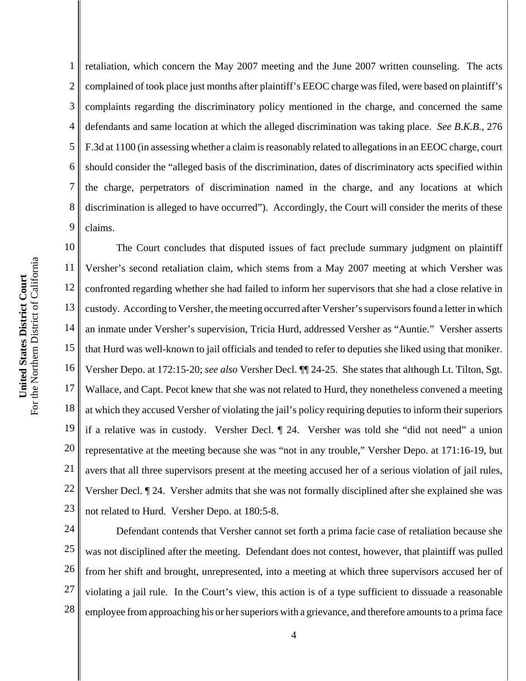1 2 3 4 5 retaliation, which concern the May 2007 meeting and the June 2007 written counseling. The acts complained of took place just months after plaintiff's EEOC charge was filed, were based on plaintiff's complaints regarding the discriminatory policy mentioned in the charge, and concerned the same defendants and same location at which the alleged discrimination was taking place. *See B.K.B.*, 276 F.3d at 1100 (in assessing whether a claim is reasonably related to allegations in an EEOC charge, court should consider the "alleged basis of the discrimination, dates of discriminatory acts specified within the charge, perpetrators of discrimination named in the charge, and any locations at which discrimination is alleged to have occurred"). Accordingly, the Court will consider the merits of these claims.

17 18 19 20 21 22 23 The Court concludes that disputed issues of fact preclude summary judgment on plaintiff Versher's second retaliation claim, which stems from a May 2007 meeting at which Versher was confronted regarding whether she had failed to inform her supervisors that she had a close relative in custody. According to Versher, the meeting occurred after Versher's supervisors found a letter in which an inmate under Versher's supervision, Tricia Hurd, addressed Versher as "Auntie." Versher asserts that Hurd was well-known to jail officials and tended to refer to deputies she liked using that moniker. Versher Depo. at 172:15-20; *see also* Versher Decl. ¶¶ 24-25. She states that although Lt. Tilton, Sgt. Wallace, and Capt. Pecot knew that she was not related to Hurd, they nonetheless convened a meeting at which they accused Versher of violating the jail's policy requiring deputies to inform their superiors if a relative was in custody. Versher Decl. ¶ 24. Versher was told she "did not need" a union representative at the meeting because she was "not in any trouble," Versher Depo. at 171:16-19, but avers that all three supervisors present at the meeting accused her of a serious violation of jail rules, Versher Decl. ¶ 24. Versher admits that she was not formally disciplined after she explained she was not related to Hurd*.* Versher Depo. at 180:5-8.

24 25 26 27 28 Defendant contends that Versher cannot set forth a prima facie case of retaliation because she was not disciplined after the meeting. Defendant does not contest, however, that plaintiff was pulled from her shift and brought, unrepresented, into a meeting at which three supervisors accused her of violating a jail rule. In the Court's view, this action is of a type sufficient to dissuade a reasonable employee from approaching his or her superiors with a grievance, and therefore amounts to a prima face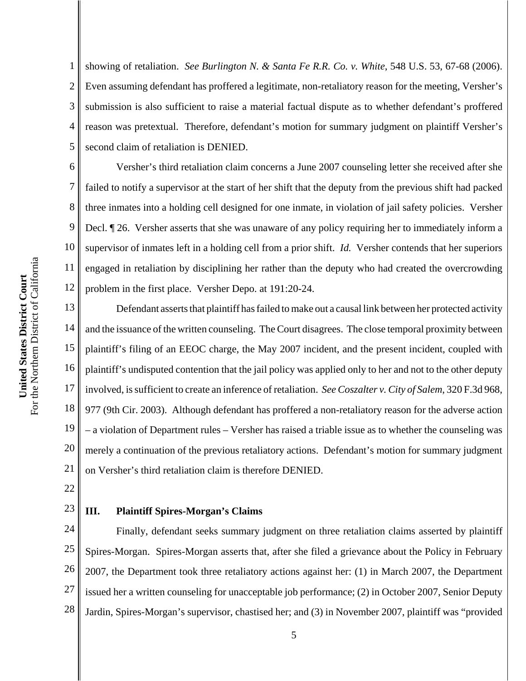6 7 8 9 10 For the Northern District of California For the Northern District of California 11 United States District Court **United States District Court** 12 13 14

1 2 3 4 5 showing of retaliation. *See Burlington N. & Santa Fe R.R. Co. v. White*, 548 U.S. 53, 67-68 (2006). Even assuming defendant has proffered a legitimate, non-retaliatory reason for the meeting, Versher's submission is also sufficient to raise a material factual dispute as to whether defendant's proffered reason was pretextual. Therefore, defendant's motion for summary judgment on plaintiff Versher's second claim of retaliation is DENIED.

Versher's third retaliation claim concerns a June 2007 counseling letter she received after she failed to notify a supervisor at the start of her shift that the deputy from the previous shift had packed three inmates into a holding cell designed for one inmate, in violation of jail safety policies. Versher Decl. ¶ 26. Versher asserts that she was unaware of any policy requiring her to immediately inform a supervisor of inmates left in a holding cell from a prior shift. *Id.* Versher contends that her superiors engaged in retaliation by disciplining her rather than the deputy who had created the overcrowding problem in the first place. Versher Depo. at 191:20-24.

15 16 17 18 19 20 21 Defendant asserts that plaintiff has failed to make out a causal link between her protected activity and the issuance of the written counseling. The Court disagrees. The close temporal proximity between plaintiff's filing of an EEOC charge, the May 2007 incident, and the present incident, coupled with plaintiff's undisputed contention that the jail policy was applied only to her and not to the other deputy involved, is sufficient to create an inference of retaliation. *See Coszalter v. City of Salem*, 320 F.3d 968, 977 (9th Cir. 2003). Although defendant has proffered a non-retaliatory reason for the adverse action – a violation of Department rules – Versher has raised a triable issue as to whether the counseling was merely a continuation of the previous retaliatory actions. Defendant's motion for summary judgment on Versher's third retaliation claim is therefore DENIED.

22

### 23

### **III. Plaintiff Spires-Morgan's Claims**

24 25 26 27 28 Finally, defendant seeks summary judgment on three retaliation claims asserted by plaintiff Spires-Morgan. Spires-Morgan asserts that, after she filed a grievance about the Policy in February 2007, the Department took three retaliatory actions against her: (1) in March 2007, the Department issued her a written counseling for unacceptable job performance; (2) in October 2007, Senior Deputy Jardin, Spires-Morgan's supervisor, chastised her; and (3) in November 2007, plaintiff was "provided

5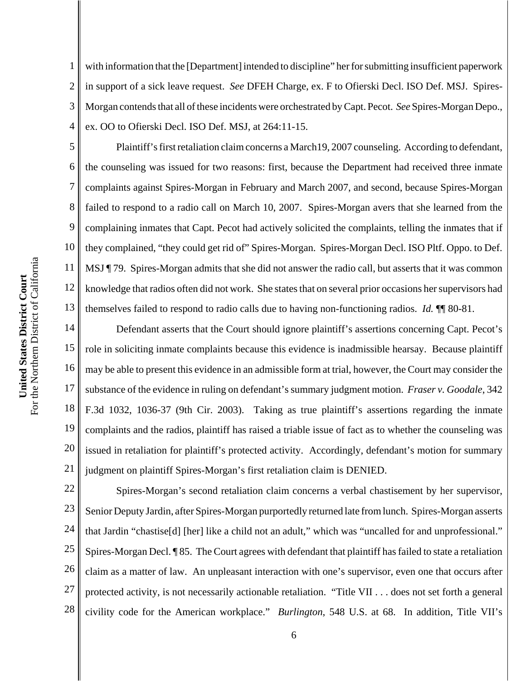1 2 3 4 with information that the [Department] intended to discipline" her for submitting insufficient paperwork in support of a sick leave request. *See* DFEH Charge, ex. F to Ofierski Decl. ISO Def. MSJ. Spires-Morgan contends that all of these incidents were orchestrated by Capt. Pecot. *See* Spires-Morgan Depo., ex. OO to Ofierski Decl. ISO Def. MSJ, at 264:11-15.

Plaintiff's first retaliation claim concerns a March19, 2007 counseling. According to defendant, the counseling was issued for two reasons: first, because the Department had received three inmate complaints against Spires-Morgan in February and March 2007, and second, because Spires-Morgan failed to respond to a radio call on March 10, 2007. Spires-Morgan avers that she learned from the complaining inmates that Capt. Pecot had actively solicited the complaints, telling the inmates that if they complained, "they could get rid of" Spires-Morgan. Spires-Morgan Decl. ISO Pltf. Oppo. to Def. MSJ ¶ 79. Spires-Morgan admits that she did not answer the radio call, but asserts that it was common knowledge that radios often did not work. She states that on several prior occasions her supervisors had themselves failed to respond to radio calls due to having non-functioning radios. *Id.* ¶¶ 80-81.

14 15 16 17 18 19 20 21 Defendant asserts that the Court should ignore plaintiff's assertions concerning Capt. Pecot's role in soliciting inmate complaints because this evidence is inadmissible hearsay. Because plaintiff may be able to present this evidence in an admissible form at trial, however, the Court may consider the substance of the evidence in ruling on defendant's summary judgment motion. *Fraser v. Goodale*, 342 F.3d 1032, 1036-37 (9th Cir. 2003). Taking as true plaintiff's assertions regarding the inmate complaints and the radios, plaintiff has raised a triable issue of fact as to whether the counseling was issued in retaliation for plaintiff's protected activity. Accordingly, defendant's motion for summary judgment on plaintiff Spires-Morgan's first retaliation claim is DENIED.

22 23 24 25 26 27 28 Spires-Morgan's second retaliation claim concerns a verbal chastisement by her supervisor, Senior Deputy Jardin, after Spires-Morgan purportedly returned late from lunch. Spires-Morgan asserts that Jardin "chastise[d] [her] like a child not an adult," which was "uncalled for and unprofessional." Spires-Morgan Decl. ¶ 85. The Court agrees with defendant that plaintiff has failed to state a retaliation claim as a matter of law. An unpleasant interaction with one's supervisor, even one that occurs after protected activity, is not necessarily actionable retaliation. "Title VII . . . does not set forth a general civility code for the American workplace." *Burlington*, 548 U.S. at 68. In addition, Title VII's

5

6

7

8

9

10

11

12

13